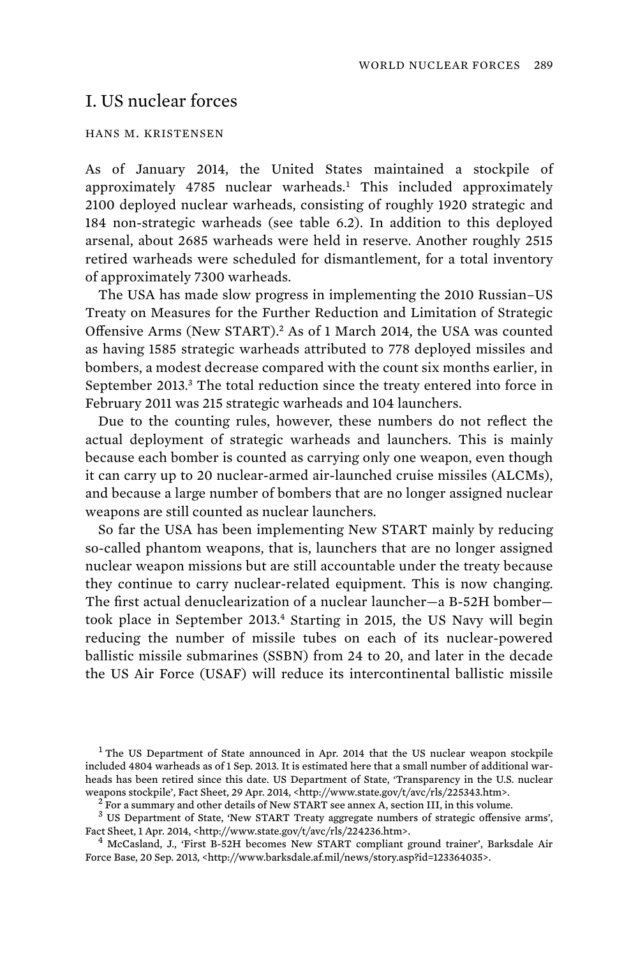# I. US nuclear forces

## HANS M. KRISTENSEN

As of January 2014, the United States maintained a stockpile of approximately 4785 nuclear warheads.<sup>1</sup> This included approximately 2100 deployed nuclear warheads, consisting of roughly 1920 strategic and 184 non-strategic warheads (see table 6.2). In addition to this deployed arsenal, about 2685 warheads were held in reserve. Another roughly 2515 retired warheads were scheduled for dismantlement, for a total inventory of approximately 7300 warheads.

The USA has made slow progress in implementing the 2010 Russian–US Treaty on Measures for the Further Reduction and Limitation of Strategic Offensive Arms (New START).<sup>2</sup> As of 1 March 2014, the USA was counted as having 1585 strategic warheads attributed to 778 deployed missiles and bombers, a modest decrease compared with the count six months earlier, in September 2013.<sup>3</sup> The total reduction since the treaty entered into force in February 2011 was 215 strategic warheads and 104 launchers.

 Due to the counting rules, however, these numbers do not reflect the actual deployment of strategic warheads and launchers. This is mainly because each bomber is counted as carrying only one weapon, even though it can carry up to 20 nuclear-armed air-launched cruise missiles (ALCMs), and because a large number of bombers that are no longer assigned nuclear weapons are still counted as nuclear launchers.

So far the USA has been implementing New START mainly by reducing so-called phantom weapons, that is, launchers that are no longer assigned nuclear weapon missions but are still accountable under the treaty because they continue to carry nuclear-related equipment. This is now changing. The first actual denuclearization of a nuclear launcher—a B-52H bomber took place in September 2013.<sup>4</sup> Starting in 2015, the US Navy will begin reducing the number of missile tubes on each of its nuclear-powered ballistic missile submarines (SSBN) from 24 to 20, and later in the decade the US Air Force (USAF) will reduce its intercontinental ballistic missile

<sup>3</sup> US Department of State, 'New START Treaty aggregate numbers of strategic offensive arms', Fact Sheet, 1 Apr. 2014, <http://www.state.gov/t/avc/rls/224236.htm>.

<sup>4</sup> McCasland, J., 'First B-52H becomes New START compliant ground trainer', Barksdale Air Force Base, 20 Sep. 2013, <http://www.barksdale.af.mil/news/story.asp?id=123364035>.

<sup>&</sup>lt;sup>1</sup> The US Department of State announced in Apr. 2014 that the US nuclear weapon stockpile included 4804 warheads as of 1 Sep. 2013. It is estimated here that a small number of additional warheads has been retired since this date. US Department of State, 'Transparency in the U.S. nuclear weapons stockpile', Fact Sheet, 29 Apr. 2014, <http://www.state.gov/t/avc/rls/225343.htm>.

<sup>&</sup>lt;sup>2</sup> For a summary and other details of New START see annex A, section III, in this volume.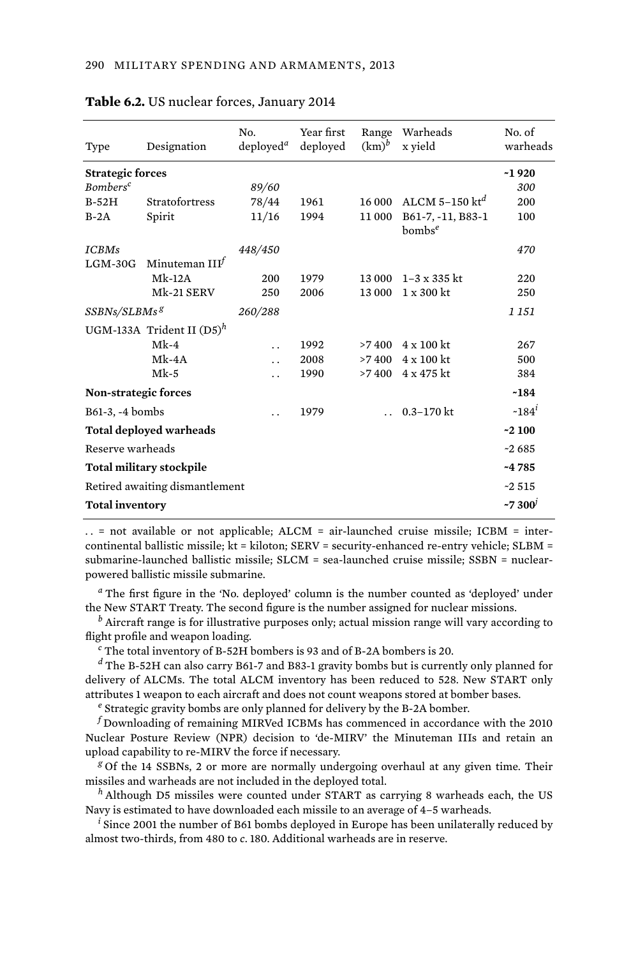| Type                            | Designation                  | No.<br>deploved <sup>a</sup> | Year first<br>deployed | Range<br>$(km)^b$ | Warheads<br>x yield            | No. of<br>warheads |
|---------------------------------|------------------------------|------------------------------|------------------------|-------------------|--------------------------------|--------------------|
| <b>Strategic forces</b>         |                              |                              |                        |                   |                                | $-1920$            |
| <b>Bombers<sup>c</sup></b>      |                              | 89/60                        |                        |                   |                                | 300                |
| $B-52H$                         | <b>Stratofortress</b>        | 78/44                        | 1961                   | 16 000            | ALCM 5-150 $kt^d$              | 200                |
| $B-2A$                          | Spirit                       | 11/16                        | 1994                   | 11 000            | B61-7, -11, B83-1<br>$bombs^e$ | 100                |
| <b>ICBMs</b>                    |                              | 448/450                      |                        |                   |                                | 470                |
| $LGM-30G$                       | Minuteman $IIIJ$             |                              |                        |                   |                                |                    |
|                                 | $Mk-12A$                     | 200                          | 1979                   | 13 000            | $1 - 3 \times 335$ kt          | 220                |
|                                 | Mk-21 SERV                   | 250                          | 2006                   | 13 000            | $1 \times 300$ kt              | 250                |
| SSBNs/SLBMs <sup>g</sup>        |                              | 260/288                      |                        |                   |                                | 1 1 5 1            |
|                                 | UGM-133A Trident II $(D5)^h$ |                              |                        |                   |                                |                    |
|                                 | $Mk-4$                       | $\ddot{\phantom{0}}$         | 1992                   | >7400             | $4 \times 100$ kt              | 267                |
|                                 | $Mk-4A$                      | $\ddot{\phantom{0}}$         | 2008                   | >7400             | $4 \times 100$ kt              | 500                |
|                                 | $Mk-5$                       | . .                          | 1990                   | >7400             | 4 x 475 kt                     | 384                |
| Non-strategic forces            |                              |                              |                        |                   |                                | $-184$             |
| B61-3, -4 bombs                 |                              |                              | 1979                   |                   | $0.3 - 170$ kt                 | $-184^{i}$         |
| <b>Total deployed warheads</b>  |                              |                              |                        |                   | $-2100$                        |                    |
| Reserve warheads                |                              |                              |                        |                   | $-2685$                        |                    |
| <b>Total military stockpile</b> |                              |                              |                        |                   |                                | $-4785$            |
| Retired awaiting dismantlement  |                              |                              |                        |                   |                                | $-2.515$           |
| <b>Total inventory</b>          |                              |                              |                        |                   |                                | $-7300'$           |
|                                 |                              |                              |                        |                   |                                |                    |

#### **Table 6.2.** US nuclear forces, January 2014

 $\ldots$  = not available or not applicable; ALCM = air-launched cruise missile; ICBM = intercontinental ballistic missile; kt = kiloton; SERV = security-enhanced re-entry vehicle; SLBM = submarine-launched ballistic missile; SLCM = sea-launched cruise missile; SSBN = nuclearpowered ballistic missile submarine.

*a* The first figure in the 'No. deployed' column is the number counted as 'deployed' under the New START Treaty. The second figure is the number assigned for nuclear missions.

*b* Aircraft range is for illustrative purposes only; actual mission range will vary according to flight profile and weapon loading.

*c* The total inventory of B-52H bombers is 93 and of B-2A bombers is 20.

*d* The B-52H can also carry B61-7 and B83-1 gravity bombs but is currently only planned for delivery of ALCMs. The total ALCM inventory has been reduced to 528. New START only attributes 1 weapon to each aircraft and does not count weapons stored at bomber bases.

*e* Strategic gravity bombs are only planned for delivery by the B-2A bomber.

*f* Downloading of remaining MIRVed ICBMs has commenced in accordance with the 2010 Nuclear Posture Review (NPR) decision to 'de-MIRV' the Minuteman IIIs and retain an upload capability to re-MIRV the force if necessary.

*g* Of the 14 SSBNs, 2 or more are normally undergoing overhaul at any given time. Their missiles and warheads are not included in the deployed total.

*<sup>h</sup>* Although D5 missiles were counted under START as carrying 8 warheads each, the US Navy is estimated to have downloaded each missile to an average of 4–5 warheads.

*i* Since 2001 the number of B61 bombs deployed in Europe has been unilaterally reduced by almost two-thirds, from 480 to *c*. 180. Additional warheads are in reserve.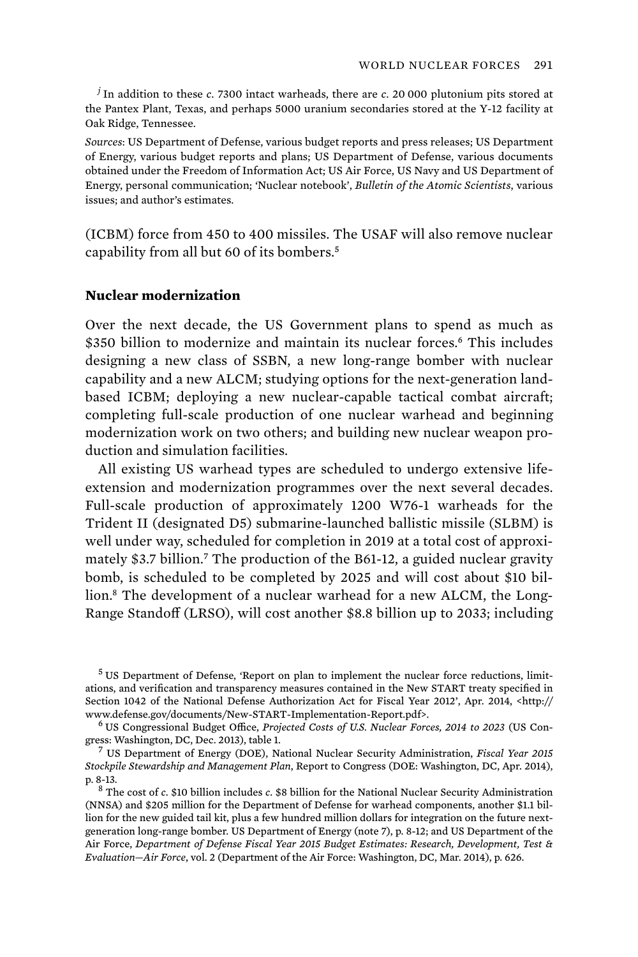*j* In addition to these *c*. 7300 intact warheads, there are *c*. 20 000 plutonium pits stored at the Pantex Plant, Texas, and perhaps 5000 uranium secondaries stored at the Y-12 facility at Oak Ridge, Tennessee.

*Sources*: US Department of Defense, various budget reports and press releases; US Department of Energy, various budget reports and plans; US Department of Defense, various documents obtained under the Freedom of Information Act; US Air Force, US Navy and US Department of Energy, personal communication; 'Nuclear notebook', *Bulletin of the Atomic Scientists*, various issues; and author's estimates.

(ICBM) force from 450 to 400 missiles. The USAF will also remove nuclear capability from all but 60 of its bombers.<sup>5</sup>

# **Nuclear modernization**

Over the next decade, the US Government plans to spend as much as \$350 billion to modernize and maintain its nuclear forces.<sup>6</sup> This includes designing a new class of SSBN, a new long-range bomber with nuclear capability and a new ALCM; studying options for the next-generation landbased ICBM; deploying a new nuclear-capable tactical combat aircraft; completing full-scale production of one nuclear warhead and beginning modernization work on two others; and building new nuclear weapon production and simulation facilities.

All existing US warhead types are scheduled to undergo extensive lifeextension and modernization programmes over the next several decades. Full-scale production of approximately 1200 W76-1 warheads for the Trident II (designated D5) submarine-launched ballistic missile (SLBM) is well under way, scheduled for completion in 2019 at a total cost of approximately \$3.7 billion.<sup>7</sup> The production of the B61-12, a guided nuclear gravity bomb, is scheduled to be completed by 2025 and will cost about \$10 billion.<sup>8</sup> The development of a nuclear warhead for a new ALCM, the Long-Range Standoff (LRSO), will cost another \$8.8 billion up to 2033; including

<sup>5</sup> US Department of Defense, 'Report on plan to implement the nuclear force reductions, limitations, and verification and transparency measures contained in the New START treaty specified in Section 1042 of the National Defense Authorization Act for Fiscal Year 2012', Apr. 2014, <http:// www.defense.gov/documents/New-START-Implementation-Report.pdf>. <sup>6</sup>

 US Congressional Budget Office, *Projected Costs of U.S. Nuclear Forces, 2014 to 2023* (US Congress: Washington, DC, Dec. 2013), table 1. <sup>7</sup>

 US Department of Energy (DOE), National Nuclear Security Administration, *Fiscal Year 2015 Stockpile Stewardship and Management Plan*, Report to Congress (DOE: Washington, DC, Apr. 2014), p. 8-13. <sup>8</sup>

 The cost of *c*. \$10 billion includes *c*. \$8 billion for the National Nuclear Security Administration (NNSA) and \$205 million for the Department of Defense for warhead components, another \$1.1 billion for the new guided tail kit, plus a few hundred million dollars for integration on the future nextgeneration long-range bomber. US Department of Energy (note 7), p. 8-12; and US Department of the Air Force, *Department of Defense Fiscal Year 2015 Budget Estimates: Research, Development, Test & Evaluation—Air Force*, vol. 2 (Department of the Air Force: Washington, DC, Mar. 2014), p. 626.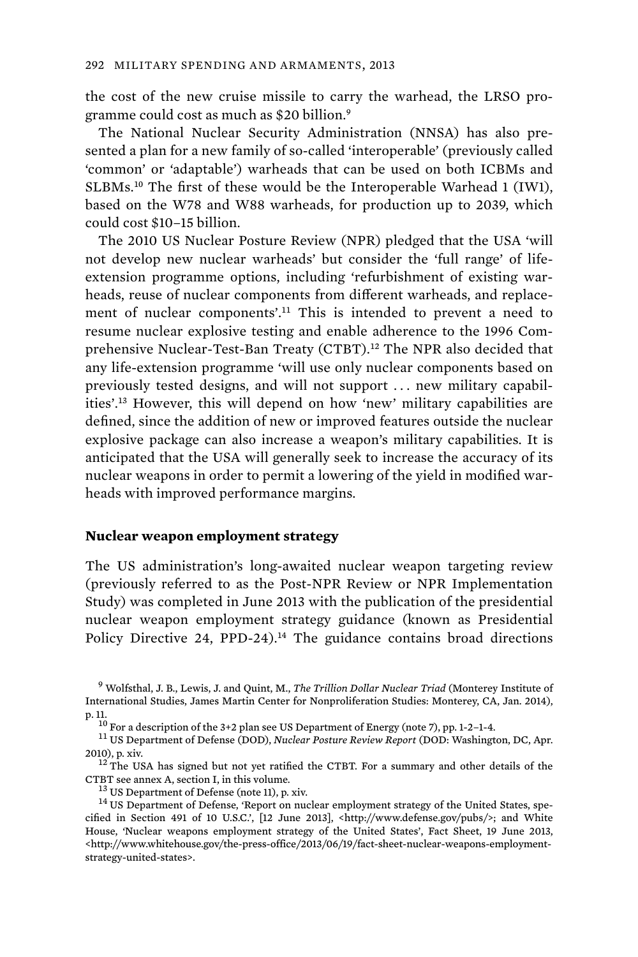the cost of the new cruise missile to carry the warhead, the LRSO programme could cost as much as \$20 billion.<sup>9</sup>

The National Nuclear Security Administration (NNSA) has also presented a plan for a new family of so-called 'interoperable' (previously called 'common' or 'adaptable') warheads that can be used on both ICBMs and SLBMs.<sup>10</sup> The first of these would be the Interoperable Warhead 1 (IW1), based on the W78 and W88 warheads, for production up to 2039, which could cost \$10–15 billion.

The 2010 US Nuclear Posture Review (NPR) pledged that the USA 'will not develop new nuclear warheads' but consider the 'full range' of lifeextension programme options, including 'refurbishment of existing warheads, reuse of nuclear components from different warheads, and replacement of nuclear components'.<sup>11</sup> This is intended to prevent a need to resume nuclear explosive testing and enable adherence to the 1996 Comprehensive Nuclear-Test-Ban Treaty (CTBT).<sup>12</sup> The NPR also decided that any life-extension programme 'will use only nuclear components based on previously tested designs, and will not support . . . new military capabilities'.<sup>13</sup> However, this will depend on how 'new' military capabilities are defined, since the addition of new or improved features outside the nuclear explosive package can also increase a weapon's military capabilities. It is anticipated that the USA will generally seek to increase the accuracy of its nuclear weapons in order to permit a lowering of the yield in modified warheads with improved performance margins.

# **Nuclear weapon employment strategy**

The US administration's long-awaited nuclear weapon targeting review (previously referred to as the Post-NPR Review or NPR Implementation Study) was completed in June 2013 with the publication of the presidential nuclear weapon employment strategy guidance (known as Presidential Policy Directive 24, PPD-24).<sup>14</sup> The guidance contains broad directions

<sup>9</sup> Wolfsthal, J. B., Lewis, J. and Quint, M., *The Trillion Dollar Nuclear Triad* (Monterey Institute of International Studies, James Martin Center for Nonproliferation Studies: Monterey, CA, Jan. 2014), p. 11. 10 For a description of the 3+2 plan see US Department of Energy (note 7), pp. 1-2–1-4. 11 US Department of Defense (DOD), *Nuclear Posture Review Report* (DOD: Washington, DC, Apr.

<sup>2010),</sup> p. xiv.<br> $12$  The USA has signed but not yet ratified the CTBT. For a summary and other details of the

CTBT see annex A, section I, in this volume.<br><sup>13</sup> US Department of Defense (note 11), p. xiv.  $14$  US Department of Defense, 'Report on nuclear employment strategy of the United States, spe-

cified in Section 491 of 10 U.S.C.', [12 June 2013], <http://www.defense.gov/pubs/>; and White House, 'Nuclear weapons employment strategy of the United States', Fact Sheet, 19 June 2013, <http://www.whitehouse.gov/the-press-office/2013/06/19/fact-sheet-nuclear-weapons-employmentstrategy-united-states>.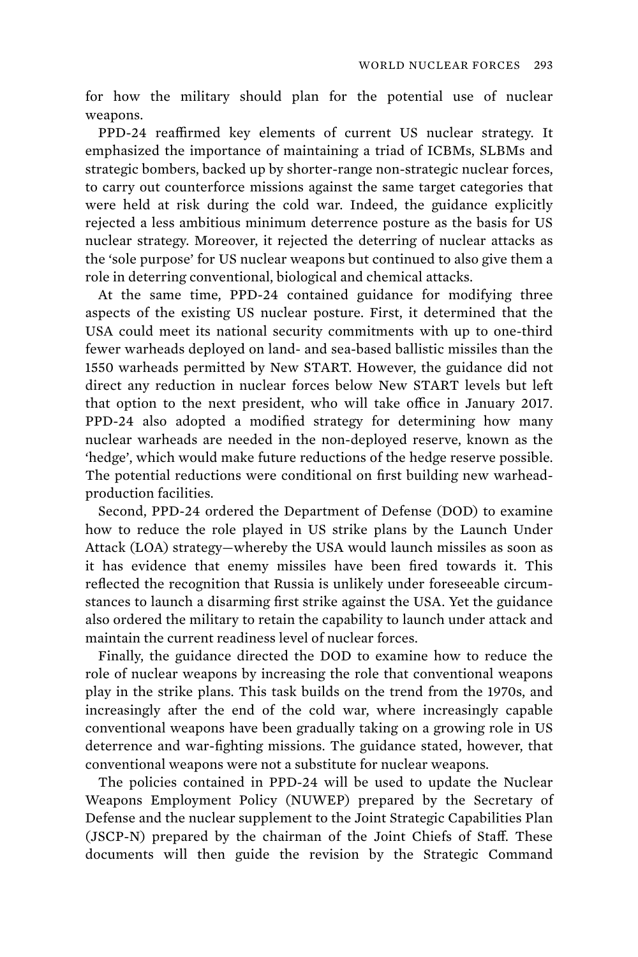for how the military should plan for the potential use of nuclear weapons.

PPD-24 reaffirmed key elements of current US nuclear strategy. It emphasized the importance of maintaining a triad of ICBMs, SLBMs and strategic bombers, backed up by shorter-range non-strategic nuclear forces, to carry out counterforce missions against the same target categories that were held at risk during the cold war. Indeed, the guidance explicitly rejected a less ambitious minimum deterrence posture as the basis for US nuclear strategy. Moreover, it rejected the deterring of nuclear attacks as the 'sole purpose' for US nuclear weapons but continued to also give them a role in deterring conventional, biological and chemical attacks.

At the same time, PPD-24 contained guidance for modifying three aspects of the existing US nuclear posture. First, it determined that the USA could meet its national security commitments with up to one-third fewer warheads deployed on land- and sea-based ballistic missiles than the 1550 warheads permitted by New START. However, the guidance did not direct any reduction in nuclear forces below New START levels but left that option to the next president, who will take office in January 2017. PPD-24 also adopted a modified strategy for determining how many nuclear warheads are needed in the non-deployed reserve, known as the 'hedge', which would make future reductions of the hedge reserve possible. The potential reductions were conditional on first building new warheadproduction facilities.

 Second, PPD-24 ordered the Department of Defense (DOD) to examine how to reduce the role played in US strike plans by the Launch Under Attack (LOA) strategy—whereby the USA would launch missiles as soon as it has evidence that enemy missiles have been fired towards it. This reflected the recognition that Russia is unlikely under foreseeable circumstances to launch a disarming first strike against the USA. Yet the guidance also ordered the military to retain the capability to launch under attack and maintain the current readiness level of nuclear forces.

 Finally, the guidance directed the DOD to examine how to reduce the role of nuclear weapons by increasing the role that conventional weapons play in the strike plans. This task builds on the trend from the 1970s, and increasingly after the end of the cold war, where increasingly capable conventional weapons have been gradually taking on a growing role in US deterrence and war-fighting missions. The guidance stated, however, that conventional weapons were not a substitute for nuclear weapons.

 The policies contained in PPD-24 will be used to update the Nuclear Weapons Employment Policy (NUWEP) prepared by the Secretary of Defense and the nuclear supplement to the Joint Strategic Capabilities Plan (JSCP-N) prepared by the chairman of the Joint Chiefs of Staff. These documents will then guide the revision by the Strategic Command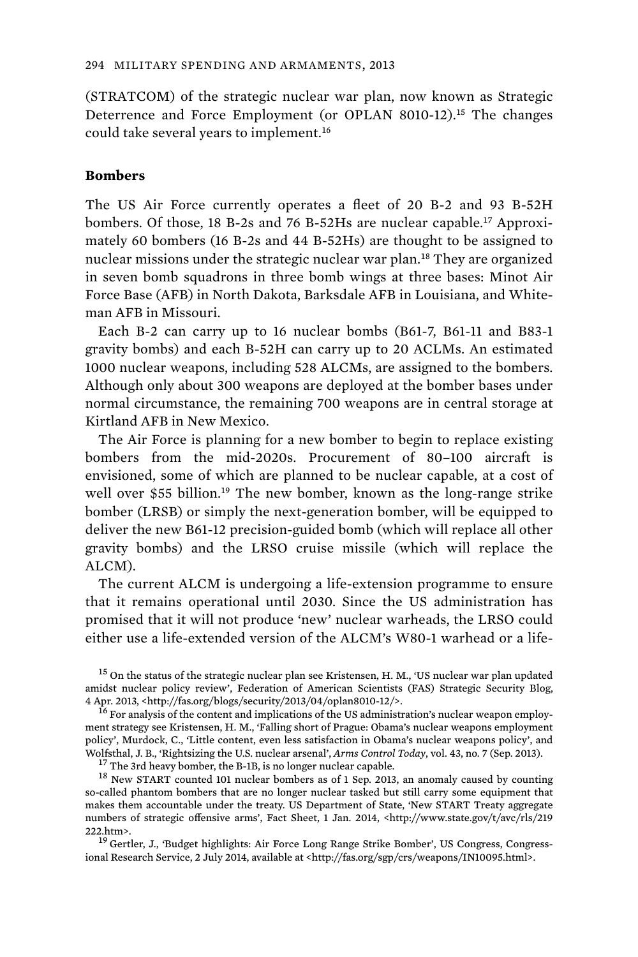(STRATCOM) of the strategic nuclear war plan, now known as Strategic Deterrence and Force Employment (or OPLAN 8010-12).<sup>15</sup> The changes could take several years to implement.<sup>16</sup>

#### **Bombers**

The US Air Force currently operates a fleet of 20 B-2 and 93 B-52H bombers. Of those, 18 B-2s and 76 B-52Hs are nuclear capable.<sup>17</sup> Approximately 60 bombers (16 B-2s and 44 B-52Hs) are thought to be assigned to nuclear missions under the strategic nuclear war plan.<sup>18</sup> They are organized in seven bomb squadrons in three bomb wings at three bases: Minot Air Force Base (AFB) in North Dakota, Barksdale AFB in Louisiana, and Whiteman AFB in Missouri.

Each B-2 can carry up to 16 nuclear bombs (B61-7, B61-11 and B83-1 gravity bombs) and each B-52H can carry up to 20 ACLMs. An estimated 1000 nuclear weapons, including 528 ALCMs, are assigned to the bombers. Although only about 300 weapons are deployed at the bomber bases under normal circumstance, the remaining 700 weapons are in central storage at Kirtland AFB in New Mexico.

 The Air Force is planning for a new bomber to begin to replace existing bombers from the mid-2020s. Procurement of 80–100 aircraft is envisioned, some of which are planned to be nuclear capable, at a cost of well over \$55 billion.<sup>19</sup> The new bomber, known as the long-range strike bomber (LRSB) or simply the next-generation bomber, will be equipped to deliver the new B61-12 precision-guided bomb (which will replace all other gravity bombs) and the LRSO cruise missile (which will replace the ALCM).

The current ALCM is undergoing a life-extension programme to ensure that it remains operational until 2030. Since the US administration has promised that it will not produce 'new' nuclear warheads, the LRSO could either use a life-extended version of the ALCM's W80-1 warhead or a life-

<sup>15</sup> On the status of the strategic nuclear plan see Kristensen, H. M., 'US nuclear war plan updated amidst nuclear policy review', Federation of American Scientists (FAS) Strategic Security Blog, 4 Apr. 2013, <http://fas.org/blogs/security/2013/04/oplan8010-12/>.<br><sup>16</sup> For analysis of the content and implications of the US administration's nuclear weapon employ-

ment strategy see Kristensen, H. M., 'Falling short of Prague: Obama's nuclear weapons employment policy', Murdock, C., 'Little content, even less satisfaction in Obama's nuclear weapons policy', and<br>Wolfsthal, J. B., 'Rightsizing the U.S. nuclear arsenal', Arms Control Today, vol. 43, no. 7 (Sep. 2013).

<sup>17</sup> The 3rd heavy bomber, the B-1B, is no longer nuclear capable.<br><sup>18</sup> New START counted 101 nuclear bombers as of 1 Sep. 2013, an anomaly caused by counting so-called phantom bombers that are no longer nuclear tasked but still carry some equipment that makes them accountable under the treaty. US Department of State, 'New START Treaty aggregate numbers of strategic offensive arms', Fact Sheet, 1 Jan. 2014, <http://www.state.gov/t/avc/rls/219 222.htm>.<br><sup>19</sup> Gertler, J., 'Budget highlights: Air Force Long Range Strike Bomber', US Congress, Congress-

ional Research Service, 2 July 2014, available at <http://fas.org/sgp/crs/weapons/IN10095.html>.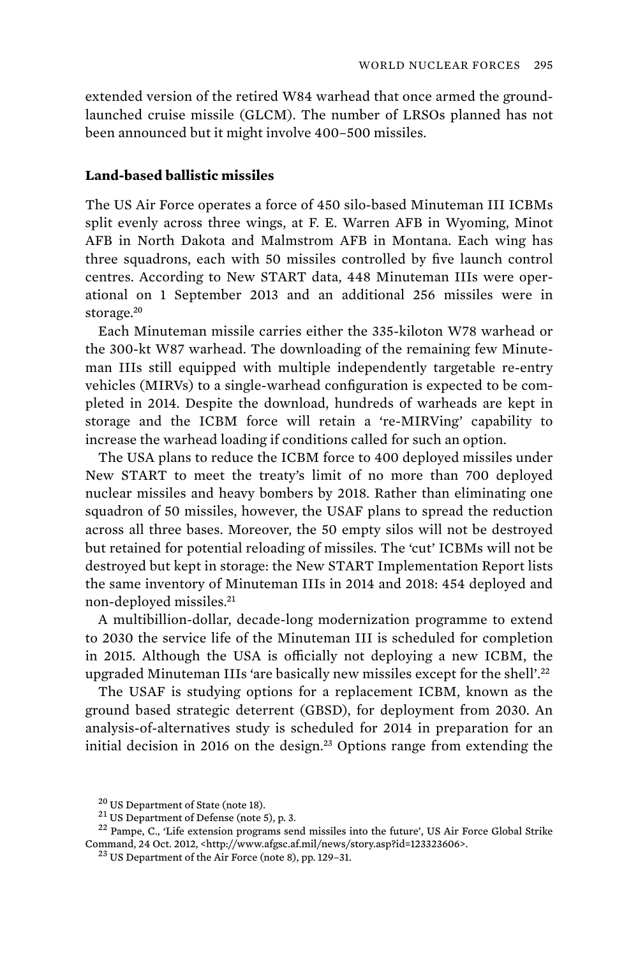extended version of the retired W84 warhead that once armed the groundlaunched cruise missile (GLCM). The number of LRSOs planned has not been announced but it might involve 400–500 missiles.

# **Land-based ballistic missiles**

The US Air Force operates a force of 450 silo-based Minuteman III ICBMs split evenly across three wings, at F. E. Warren AFB in Wyoming, Minot AFB in North Dakota and Malmstrom AFB in Montana. Each wing has three squadrons, each with 50 missiles controlled by five launch control centres. According to New START data, 448 Minuteman IIIs were operational on 1 September 2013 and an additional 256 missiles were in storage.<sup>20</sup>

 Each Minuteman missile carries either the 335-kiloton W78 warhead or the 300-kt W87 warhead. The downloading of the remaining few Minuteman IIIs still equipped with multiple independently targetable re-entry vehicles (MIRVs) to a single-warhead configuration is expected to be completed in 2014. Despite the download, hundreds of warheads are kept in storage and the ICBM force will retain a 're-MIRVing' capability to increase the warhead loading if conditions called for such an option.

 The USA plans to reduce the ICBM force to 400 deployed missiles under New START to meet the treaty's limit of no more than 700 deployed nuclear missiles and heavy bombers by 2018. Rather than eliminating one squadron of 50 missiles, however, the USAF plans to spread the reduction across all three bases. Moreover, the 50 empty silos will not be destroyed but retained for potential reloading of missiles. The 'cut' ICBMs will not be destroyed but kept in storage: the New START Implementation Report lists the same inventory of Minuteman IIIs in 2014 and 2018: 454 deployed and non-deployed missiles.<sup>21</sup>

A multibillion-dollar, decade-long modernization programme to extend to 2030 the service life of the Minuteman III is scheduled for completion in 2015. Although the USA is officially not deploying a new ICBM, the upgraded Minuteman IIIs 'are basically new missiles except for the shell'.<sup>22</sup>

The USAF is studying options for a replacement ICBM, known as the ground based strategic deterrent (GBSD), for deployment from 2030. An analysis-of-alternatives study is scheduled for 2014 in preparation for an initial decision in 2016 on the design.<sup>23</sup> Options range from extending the

<sup>&</sup>lt;sup>20</sup> US Department of State (note 18).  $\frac{21}{10}$  US Department of Defense (note 5), p. 3. <sup>22</sup> Pampe, C., 'Life extension programs send missiles into the future', US Air Force Global Strike Command, 24 Oct. 2012, <http://www.afgsc.af.mil/news/story.asp?id=123323606>. <sup>23</sup> US Department of the Air Force (note 8), pp. 129–31.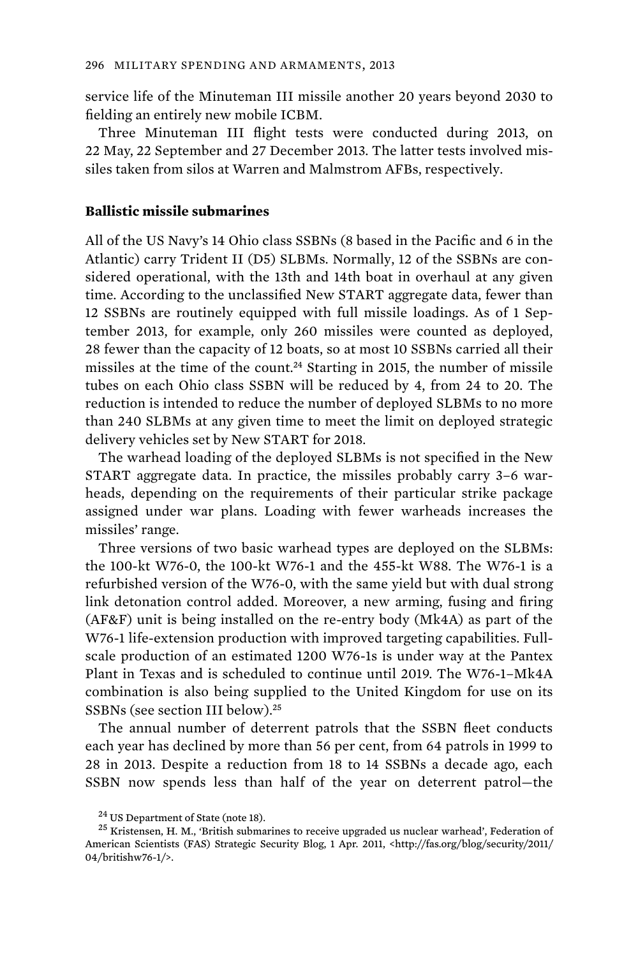service life of the Minuteman III missile another 20 years beyond 2030 to fielding an entirely new mobile ICBM.

Three Minuteman III flight tests were conducted during 2013, on 22 May, 22 September and 27 December 2013. The latter tests involved missiles taken from silos at Warren and Malmstrom AFBs, respectively.

#### **Ballistic missile submarines**

All of the US Navy's 14 Ohio class SSBNs (8 based in the Pacific and 6 in the Atlantic) carry Trident II (D5) SLBMs. Normally, 12 of the SSBNs are considered operational, with the 13th and 14th boat in overhaul at any given time. According to the unclassified New START aggregate data, fewer than 12 SSBNs are routinely equipped with full missile loadings. As of 1 September 2013, for example, only 260 missiles were counted as deployed, 28 fewer than the capacity of 12 boats, so at most 10 SSBNs carried all their missiles at the time of the count.<sup>24</sup> Starting in 2015, the number of missile tubes on each Ohio class SSBN will be reduced by 4, from 24 to 20. The reduction is intended to reduce the number of deployed SLBMs to no more than 240 SLBMs at any given time to meet the limit on deployed strategic delivery vehicles set by New START for 2018.

 The warhead loading of the deployed SLBMs is not specified in the New START aggregate data. In practice, the missiles probably carry 3–6 warheads, depending on the requirements of their particular strike package assigned under war plans. Loading with fewer warheads increases the missiles' range.

Three versions of two basic warhead types are deployed on the SLBMs: the 100-kt W76-0, the 100-kt W76-1 and the 455-kt W88. The W76-1 is a refurbished version of the W76-0, with the same yield but with dual strong link detonation control added. Moreover, a new arming, fusing and firing (AF&F) unit is being installed on the re-entry body (Mk4A) as part of the W76-1 life-extension production with improved targeting capabilities. Fullscale production of an estimated 1200 W76-1s is under way at the Pantex Plant in Texas and is scheduled to continue until 2019. The W76-1–Mk4A combination is also being supplied to the United Kingdom for use on its SSBNs (see section III below).<sup>25</sup>

The annual number of deterrent patrols that the SSBN fleet conducts each year has declined by more than 56 per cent, from 64 patrols in 1999 to 28 in 2013. Despite a reduction from 18 to 14 SSBNs a decade ago, each SSBN now spends less than half of the year on deterrent patrol—the

<sup>&</sup>lt;sup>24</sup> US Department of State (note 18).  $^{25}$  Kristensen, H. M., 'British submarines to receive upgraded us nuclear warhead', Federation of American Scientists (FAS) Strategic Security Blog, 1 Apr. 2011, <http://fas.org/blog/security/2011/ 04/britishw76-1/>.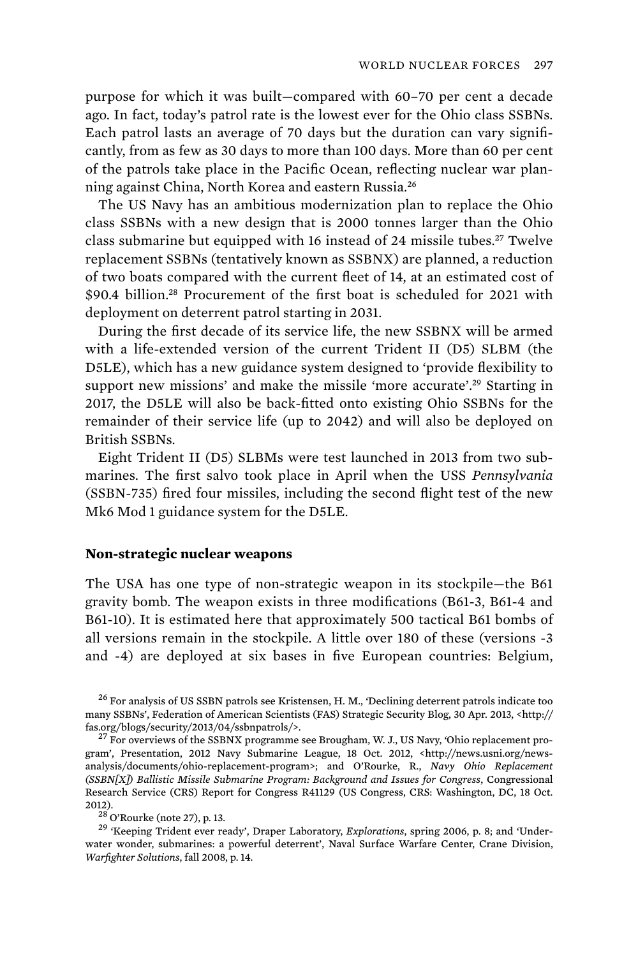purpose for which it was built—compared with 60–70 per cent a decade ago. In fact, today's patrol rate is the lowest ever for the Ohio class SSBNs. Each patrol lasts an average of 70 days but the duration can vary significantly, from as few as 30 days to more than 100 days. More than 60 per cent of the patrols take place in the Pacific Ocean, reflecting nuclear war planning against China, North Korea and eastern Russia.<sup>26</sup>

The US Navy has an ambitious modernization plan to replace the Ohio class SSBNs with a new design that is 2000 tonnes larger than the Ohio class submarine but equipped with 16 instead of 24 missile tubes.<sup>27</sup> Twelve replacement SSBNs (tentatively known as SSBNX) are planned, a reduction of two boats compared with the current fleet of 14, at an estimated cost of \$90.4 billion.<sup>28</sup> Procurement of the first boat is scheduled for 2021 with deployment on deterrent patrol starting in 2031.

During the first decade of its service life, the new SSBNX will be armed with a life-extended version of the current Trident II (D5) SLBM (the D5LE), which has a new guidance system designed to 'provide flexibility to support new missions' and make the missile 'more accurate'.<sup>29</sup> Starting in 2017, the D5LE will also be back-fitted onto existing Ohio SSBNs for the remainder of their service life (up to 2042) and will also be deployed on British SSBNs.

Eight Trident II (D5) SLBMs were test launched in 2013 from two submarines. The first salvo took place in April when the USS *Pennsylvania* (SSBN-735) fired four missiles, including the second flight test of the new Mk6 Mod 1 guidance system for the D5LE.

## **Non-strategic nuclear weapons**

The USA has one type of non-strategic weapon in its stockpile—the B61 gravity bomb. The weapon exists in three modifications (B61-3, B61-4 and B61-10). It is estimated here that approximately 500 tactical B61 bombs of all versions remain in the stockpile. A little over 180 of these (versions -3 and -4) are deployed at six bases in five European countries: Belgium,

<sup>26</sup> For analysis of US SSBN patrols see Kristensen, H. M., 'Declining deterrent patrols indicate too many SSBNs', Federation of American Scientists (FAS) Strategic Security Blog, 30 Apr. 2013, <http:// fas.org/blogs/security/2013/04/ssbnpatrols/>.<br><sup>27</sup> For overviews of the SSBNX programme see Brougham, W. J., US Navy, 'Ohio replacement pro-

gram', Presentation, 2012 Navy Submarine League, 18 Oct. 2012, <http://news.usni.org/newsanalysis/documents/ohio-replacement-program>; and O'Rourke, R., *Navy Ohio Replacement (SSBN[X]) Ballistic Missile Submarine Program: Background and Issues for Congress*, Congressional Research Service (CRS) Report for Congress R41129 (US Congress, CRS: Washington, DC, 18 Oct. 2012). 28 O'Rourke (note 27), p. 13. 29 'Keeping Trident ever ready', Draper Laboratory, *Explorations*, spring 2006, p. 8; and 'Under-

water wonder, submarines: a powerful deterrent', Naval Surface Warfare Center, Crane Division, *Warfighter Solutions*, fall 2008, p. 14.